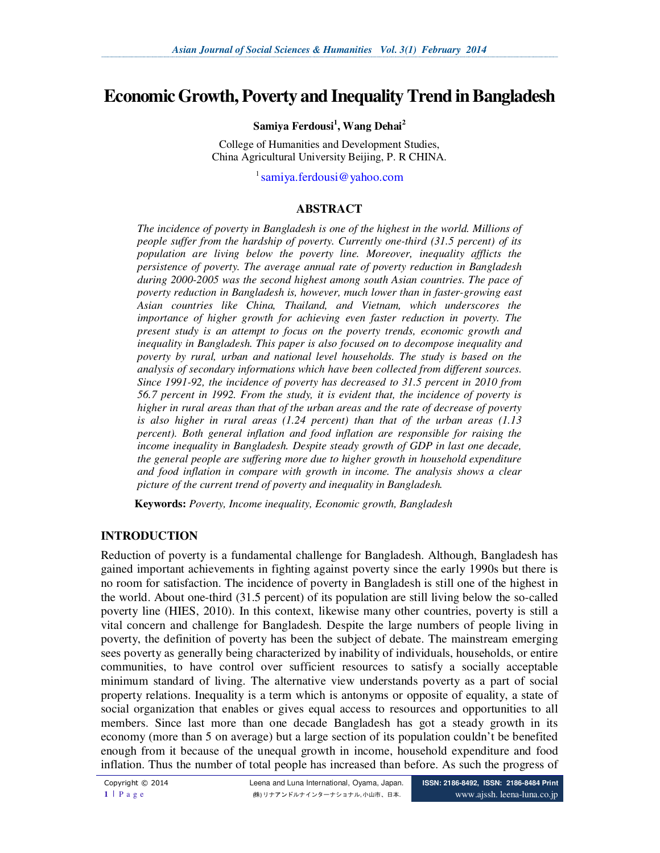# **Economic Growth, Poverty and Inequality Trend in Bangladesh**

#### **Samiya Ferdousi<sup>1</sup> , Wang Dehai<sup>2</sup>**

College of Humanities and Development Studies, China Agricultural University Beijing, P. R CHINA.

<sup>1</sup> samiya.ferdousi@yahoo.com

#### **ABSTRACT**

*The incidence of poverty in Bangladesh is one of the highest in the world. Millions of people suffer from the hardship of poverty. Currently one-third (31.5 percent) of its population are living below the poverty line. Moreover, inequality afflicts the persistence of poverty. The average annual rate of poverty reduction in Bangladesh during 2000-2005 was the second highest among south Asian countries. The pace of poverty reduction in Bangladesh is, however, much lower than in faster-growing east Asian countries like China, Thailand, and Vietnam, which underscores the importance of higher growth for achieving even faster reduction in poverty. The present study is an attempt to focus on the poverty trends, economic growth and inequality in Bangladesh. This paper is also focused on to decompose inequality and poverty by rural, urban and national level households. The study is based on the analysis of secondary informations which have been collected from different sources. Since 1991-92, the incidence of poverty has decreased to 31.5 percent in 2010 from 56.7 percent in 1992. From the study, it is evident that, the incidence of poverty is higher in rural areas than that of the urban areas and the rate of decrease of poverty is also higher in rural areas (1.24 percent) than that of the urban areas (1.13 percent). Both general inflation and food inflation are responsible for raising the income inequality in Bangladesh. Despite steady growth of GDP in last one decade, the general people are suffering more due to higher growth in household expenditure and food inflation in compare with growth in income. The analysis shows a clear picture of the current trend of poverty and inequality in Bangladesh.* 

**Keywords:** *Poverty, Income inequality, Economic growth, Bangladesh* 

#### **INTRODUCTION**

Reduction of poverty is a fundamental challenge for Bangladesh. Although, Bangladesh has gained important achievements in fighting against poverty since the early 1990s but there is no room for satisfaction. The incidence of poverty in Bangladesh is still one of the highest in the world. About one-third (31.5 percent) of its population are still living below the so-called poverty line (HIES, 2010). In this context, likewise many other countries, poverty is still a vital concern and challenge for Bangladesh. Despite the large numbers of people living in poverty, the definition of poverty has been the subject of debate. The mainstream emerging sees poverty as generally being characterized by inability of individuals, households, or entire communities, to have control over sufficient resources to satisfy a socially acceptable minimum standard of living. The alternative view understands poverty as a part of social property relations. Inequality is a term which is antonyms or opposite of equality, a state of social organization that enables or gives equal access to resources and opportunities to all members. Since last more than one decade Bangladesh has got a steady growth in its economy (more than 5 on average) but a large section of its population couldn't be benefited enough from it because of the unequal growth in income, household expenditure and food inflation. Thus the number of total people has increased than before. As such the progress of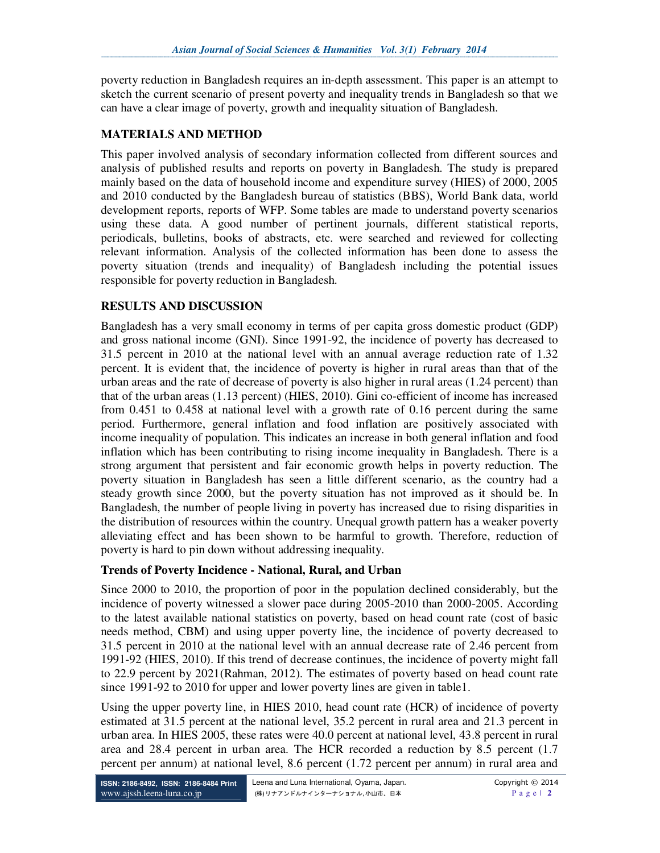poverty reduction in Bangladesh requires an in-depth assessment. This paper is an attempt to sketch the current scenario of present poverty and inequality trends in Bangladesh so that we can have a clear image of poverty, growth and inequality situation of Bangladesh.

## **MATERIALS AND METHOD**

This paper involved analysis of secondary information collected from different sources and analysis of published results and reports on poverty in Bangladesh. The study is prepared mainly based on the data of household income and expenditure survey (HIES) of 2000, 2005 and 2010 conducted by the Bangladesh bureau of statistics (BBS), World Bank data, world development reports, reports of WFP. Some tables are made to understand poverty scenarios using these data. A good number of pertinent journals, different statistical reports, periodicals, bulletins, books of abstracts, etc. were searched and reviewed for collecting relevant information. Analysis of the collected information has been done to assess the poverty situation (trends and inequality) of Bangladesh including the potential issues responsible for poverty reduction in Bangladesh.

## **RESULTS AND DISCUSSION**

Bangladesh has a very small economy in terms of per capita gross domestic product (GDP) and gross national income (GNI). Since 1991-92, the incidence of poverty has decreased to 31.5 percent in 2010 at the national level with an annual average reduction rate of 1.32 percent. It is evident that, the incidence of poverty is higher in rural areas than that of the urban areas and the rate of decrease of poverty is also higher in rural areas (1.24 percent) than that of the urban areas (1.13 percent) (HIES, 2010). Gini co-efficient of income has increased from 0.451 to 0.458 at national level with a growth rate of 0.16 percent during the same period. Furthermore, general inflation and food inflation are positively associated with income inequality of population. This indicates an increase in both general inflation and food inflation which has been contributing to rising income inequality in Bangladesh. There is a strong argument that persistent and fair economic growth helps in poverty reduction. The poverty situation in Bangladesh has seen a little different scenario, as the country had a steady growth since 2000, but the poverty situation has not improved as it should be. In Bangladesh, the number of people living in poverty has increased due to rising disparities in the distribution of resources within the country. Unequal growth pattern has a weaker poverty alleviating effect and has been shown to be harmful to growth. Therefore, reduction of poverty is hard to pin down without addressing inequality.

## **Trends of Poverty Incidence - National, Rural, and Urban**

Since 2000 to 2010, the proportion of poor in the population declined considerably, but the incidence of poverty witnessed a slower pace during 2005-2010 than 2000-2005. According to the latest available national statistics on poverty, based on head count rate (cost of basic needs method, CBM) and using upper poverty line, the incidence of poverty decreased to 31.5 percent in 2010 at the national level with an annual decrease rate of 2.46 percent from 1991-92 (HIES, 2010). If this trend of decrease continues, the incidence of poverty might fall to 22.9 percent by 2021(Rahman, 2012). The estimates of poverty based on head count rate since 1991-92 to 2010 for upper and lower poverty lines are given in table1.

Using the upper poverty line, in HIES 2010, head count rate (HCR) of incidence of poverty estimated at 31.5 percent at the national level, 35.2 percent in rural area and 21.3 percent in urban area. In HIES 2005, these rates were 40.0 percent at national level, 43.8 percent in rural area and 28.4 percent in urban area. The HCR recorded a reduction by 8.5 percent (1.7 percent per annum) at national level, 8.6 percent (1.72 percent per annum) in rural area and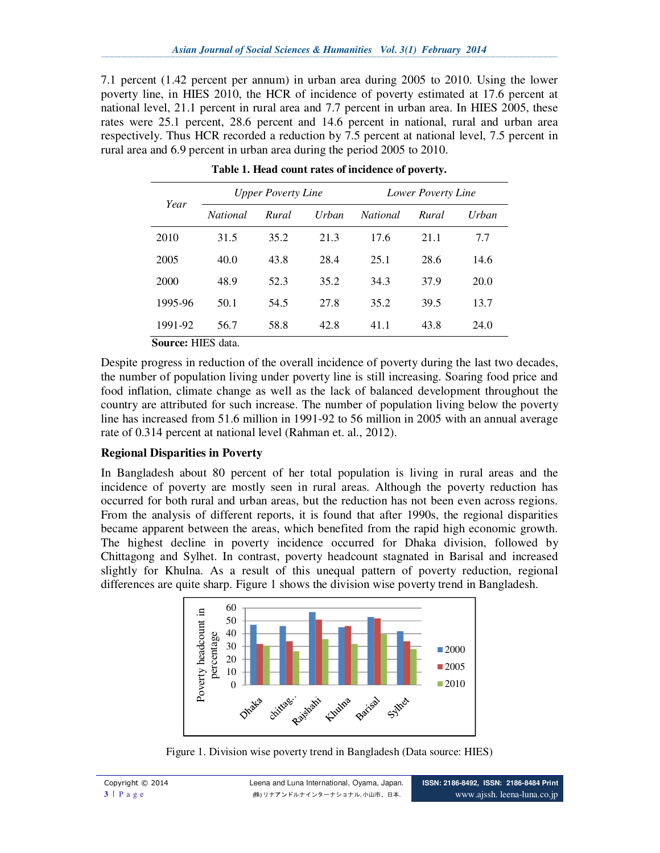7.1 percent (1.42 percent per annum) in urban area during 2005 to 2010. Using the lower poverty line, in HIES 2010, the HCR of incidence of poverty estimated at 17.6 percent at national level, 21.1 percent in rural area and 7.7 percent in urban area. In HIES 2005, these rates were 25.1 percent, 28.6 percent and 14.6 percent in national, rural and urban area respectively. Thus HCR recorded a reduction by 7.5 percent at national level, 7.5 percent in rural area and 6.9 percent in urban area during the period 2005 to 2010.

| Year    |                 | <b>Upper Poverty Line</b> |       | <b>Lower Poverty Line</b> |       |              |  |
|---------|-----------------|---------------------------|-------|---------------------------|-------|--------------|--|
|         | <i>National</i> | Rural                     | Urban | <i>National</i>           | Rural | <b>Urban</b> |  |
| 2010    | 31.5            | 35.2                      | 21.3  | 17.6                      | 21.1  | 7.7          |  |
| 2005    | 40.0            | 43.8                      | 28.4  | 25.1                      | 28.6  | 14.6         |  |
| 2000    | 48.9            | 52.3                      | 35.2  | 34.3                      | 37.9  | 20.0         |  |
| 1995-96 | 50.1            | 54.5                      | 27.8  | 35.2                      | 39.5  | 13.7         |  |
| 1991-92 | 56.7            | 58.8                      | 42.8  | 41.1                      | 43.8  | 24.0         |  |

**Table 1. Head count rates of incidence of poverty.** 

**Source:** HIES data.

Despite progress in reduction of the overall incidence of poverty during the last two decades, the number of population living under poverty line is still increasing. Soaring food price and food inflation, climate change as well as the lack of balanced development throughout the country are attributed for such increase. The number of population living below the poverty line has increased from 51.6 million in 1991-92 to 56 million in 2005 with an annual average rate of 0.314 percent at national level (Rahman et. al., 2012).

## **Regional Disparities in Poverty**

In Bangladesh about 80 percent of her total population is living in rural areas and the incidence of poverty are mostly seen in rural areas. Although the poverty reduction has occurred for both rural and urban areas, but the reduction has not been even across regions. From the analysis of different reports, it is found that after 1990s, the regional disparities became apparent between the areas, which benefited from the rapid high economic growth. The highest decline in poverty incidence occurred for Dhaka division, followed by Chittagong and Sylhet. In contrast, poverty headcount stagnated in Barisal and increased slightly for Khulna. As a result of this unequal pattern of poverty reduction, regional differences are quite sharp. Figure 1 shows the division wise poverty trend in Bangladesh.



Figure 1. Division wise poverty trend in Bangladesh (Data source: HIES)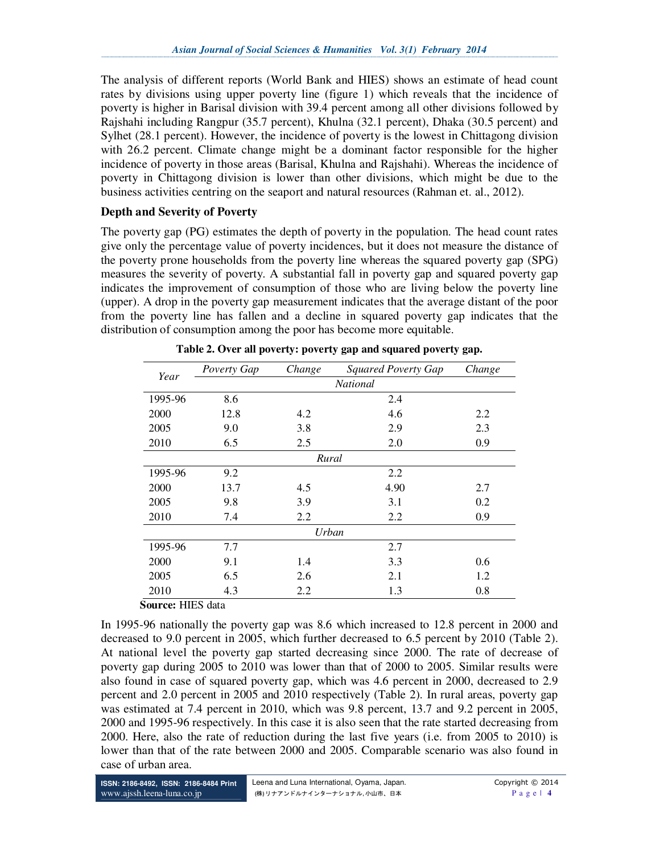The analysis of different reports (World Bank and HIES) shows an estimate of head count rates by divisions using upper poverty line (figure 1) which reveals that the incidence of poverty is higher in Barisal division with 39.4 percent among all other divisions followed by Rajshahi including Rangpur (35.7 percent), Khulna (32.1 percent), Dhaka (30.5 percent) and Sylhet (28.1 percent). However, the incidence of poverty is the lowest in Chittagong division with 26.2 percent. Climate change might be a dominant factor responsible for the higher incidence of poverty in those areas (Barisal, Khulna and Rajshahi). Whereas the incidence of poverty in Chittagong division is lower than other divisions, which might be due to the business activities centring on the seaport and natural resources (Rahman et. al., 2012).

## **Depth and Severity of Poverty**

The poverty gap (PG) estimates the depth of poverty in the population. The head count rates give only the percentage value of poverty incidences, but it does not measure the distance of the poverty prone households from the poverty line whereas the squared poverty gap (SPG) measures the severity of poverty. A substantial fall in poverty gap and squared poverty gap indicates the improvement of consumption of those who are living below the poverty line (upper). A drop in the poverty gap measurement indicates that the average distant of the poor from the poverty line has fallen and a decline in squared poverty gap indicates that the distribution of consumption among the poor has become more equitable.

| Year    | Poverty Gap     | Change | <b>Squared Poverty Gap</b> | Change |  |  |  |  |
|---------|-----------------|--------|----------------------------|--------|--|--|--|--|
|         | <b>National</b> |        |                            |        |  |  |  |  |
| 1995-96 | 8.6             |        | 2.4                        |        |  |  |  |  |
| 2000    | 12.8            | 4.2    | 4.6                        | 2.2    |  |  |  |  |
| 2005    | 9.0             | 3.8    | 2.9                        | 2.3    |  |  |  |  |
| 2010    | 6.5             | 2.5    | 2.0                        | 0.9    |  |  |  |  |
| Rural   |                 |        |                            |        |  |  |  |  |
| 1995-96 | 9.2             |        | 2.2                        |        |  |  |  |  |
| 2000    | 13.7            | 4.5    | 4.90                       | 2.7    |  |  |  |  |
| 2005    | 9.8             | 3.9    | 3.1                        | 0.2    |  |  |  |  |
| 2010    | 7.4             | 2.2    | 2.2                        | 0.9    |  |  |  |  |
| Urban   |                 |        |                            |        |  |  |  |  |
| 1995-96 | 7.7             |        | 2.7                        |        |  |  |  |  |
| 2000    | 9.1             | 1.4    | 3.3                        | 0.6    |  |  |  |  |
| 2005    | 6.5             | 2.6    | 2.1                        | 1.2    |  |  |  |  |
| 2010    | 4.3             | 2.2    | 1.3                        | 0.8    |  |  |  |  |

**Table 2. Over all poverty: poverty gap and squared poverty gap.** 

**Source:** HIES data

In 1995-96 nationally the poverty gap was 8.6 which increased to 12.8 percent in 2000 and decreased to 9.0 percent in 2005, which further decreased to 6.5 percent by 2010 (Table 2). At national level the poverty gap started decreasing since 2000. The rate of decrease of poverty gap during 2005 to 2010 was lower than that of 2000 to 2005. Similar results were also found in case of squared poverty gap, which was 4.6 percent in 2000, decreased to 2.9 percent and 2.0 percent in 2005 and 2010 respectively (Table 2). In rural areas, poverty gap was estimated at 7.4 percent in 2010, which was 9.8 percent, 13.7 and 9.2 percent in 2005, 2000 and 1995-96 respectively. In this case it is also seen that the rate started decreasing from 2000. Here, also the rate of reduction during the last five years (i.e. from 2005 to 2010) is lower than that of the rate between 2000 and 2005. Comparable scenario was also found in case of urban area.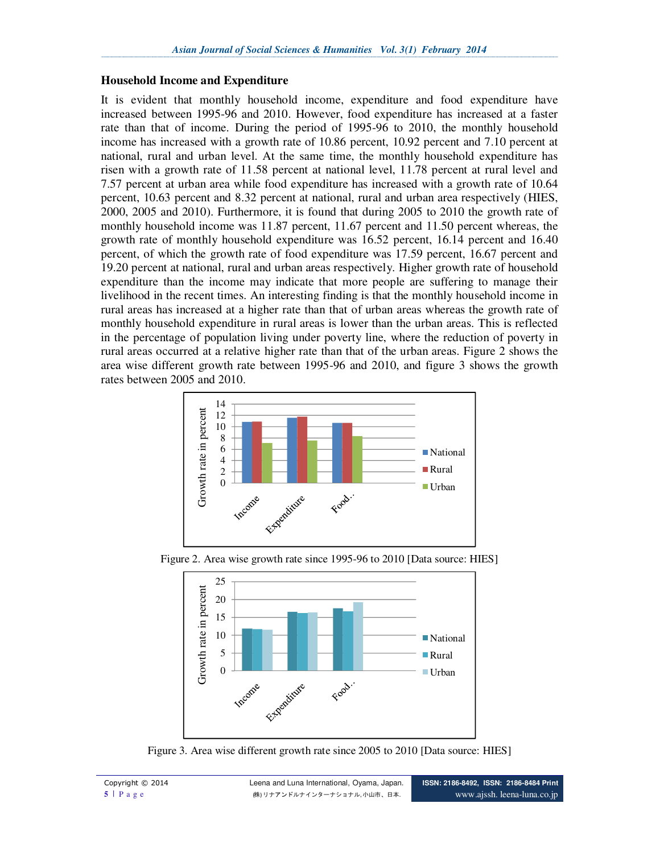#### **Household Income and Expenditure**

It is evident that monthly household income, expenditure and food expenditure have increased between 1995-96 and 2010. However, food expenditure has increased at a faster rate than that of income. During the period of 1995-96 to 2010, the monthly household income has increased with a growth rate of 10.86 percent, 10.92 percent and 7.10 percent at national, rural and urban level. At the same time, the monthly household expenditure has risen with a growth rate of 11.58 percent at national level, 11.78 percent at rural level and 7.57 percent at urban area while food expenditure has increased with a growth rate of 10.64 percent, 10.63 percent and 8.32 percent at national, rural and urban area respectively (HIES, 2000, 2005 and 2010). Furthermore, it is found that during 2005 to 2010 the growth rate of monthly household income was 11.87 percent, 11.67 percent and 11.50 percent whereas, the growth rate of monthly household expenditure was 16.52 percent, 16.14 percent and 16.40 percent, of which the growth rate of food expenditure was 17.59 percent, 16.67 percent and 19.20 percent at national, rural and urban areas respectively. Higher growth rate of household expenditure than the income may indicate that more people are suffering to manage their livelihood in the recent times. An interesting finding is that the monthly household income in rural areas has increased at a higher rate than that of urban areas whereas the growth rate of monthly household expenditure in rural areas is lower than the urban areas. This is reflected in the percentage of population living under poverty line, where the reduction of poverty in rural areas occurred at a relative higher rate than that of the urban areas. Figure 2 shows the area wise different growth rate between 1995-96 and 2010, and figure 3 shows the growth rates between 2005 and 2010.



Figure 2. Area wise growth rate since 1995-96 to 2010 [Data source: HIES]



Figure 3. Area wise different growth rate since 2005 to 2010 [Data source: HIES]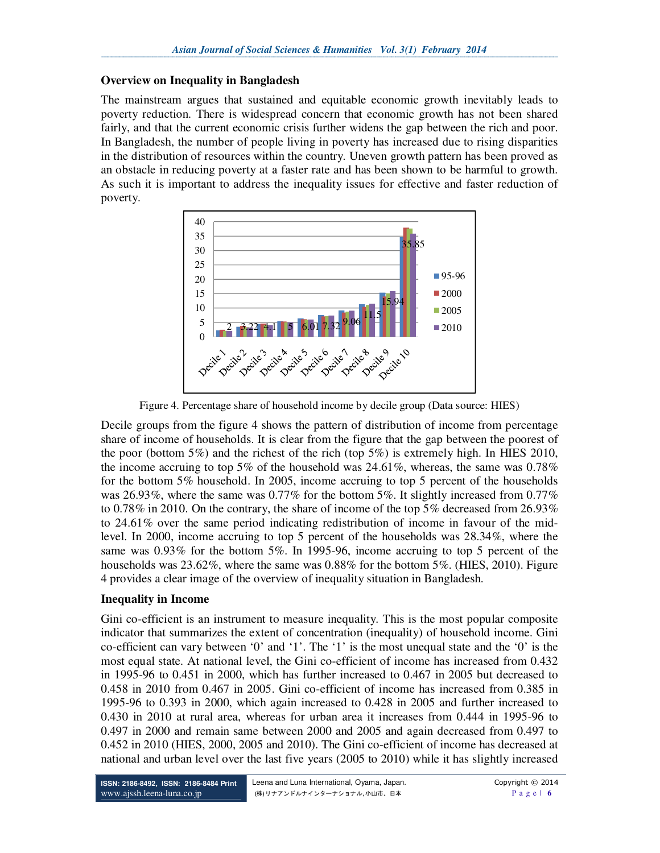#### **Overview on Inequality in Bangladesh**

The mainstream argues that sustained and equitable economic growth inevitably leads to poverty reduction. There is widespread concern that economic growth has not been shared fairly, and that the current economic crisis further widens the gap between the rich and poor. In Bangladesh, the number of people living in poverty has increased due to rising disparities in the distribution of resources within the country. Uneven growth pattern has been proved as an obstacle in reducing poverty at a faster rate and has been shown to be harmful to growth. As such it is important to address the inequality issues for effective and faster reduction of poverty.



Figure 4. Percentage share of household income by decile group (Data source: HIES)

Decile groups from the figure 4 shows the pattern of distribution of income from percentage share of income of households. It is clear from the figure that the gap between the poorest of the poor (bottom 5%) and the richest of the rich (top 5%) is extremely high. In HIES 2010, the income accruing to top 5% of the household was  $24.61\%$ , whereas, the same was 0.78% for the bottom 5% household. In 2005, income accruing to top 5 percent of the households was 26.93%, where the same was 0.77% for the bottom 5%. It slightly increased from 0.77% to 0.78% in 2010. On the contrary, the share of income of the top 5% decreased from 26.93% to 24.61% over the same period indicating redistribution of income in favour of the midlevel. In 2000, income accruing to top 5 percent of the households was 28.34%, where the same was 0.93% for the bottom 5%. In 1995-96, income accruing to top 5 percent of the households was  $23.62\%$ , where the same was  $0.88\%$  for the bottom  $5\%$ . (HIES, 2010). Figure 4 provides a clear image of the overview of inequality situation in Bangladesh.

## **Inequality in Income**

Gini co-efficient is an instrument to measure inequality. This is the most popular composite indicator that summarizes the extent of concentration (inequality) of household income. Gini co-efficient can vary between '0' and '1'. The '1' is the most unequal state and the '0' is the most equal state. At national level, the Gini co-efficient of income has increased from 0.432 in 1995-96 to 0.451 in 2000, which has further increased to 0.467 in 2005 but decreased to 0.458 in 2010 from 0.467 in 2005. Gini co-efficient of income has increased from 0.385 in 1995-96 to 0.393 in 2000, which again increased to 0.428 in 2005 and further increased to 0.430 in 2010 at rural area, whereas for urban area it increases from 0.444 in 1995-96 to 0.497 in 2000 and remain same between 2000 and 2005 and again decreased from 0.497 to 0.452 in 2010 (HIES, 2000, 2005 and 2010). The Gini co-efficient of income has decreased at national and urban level over the last five years (2005 to 2010) while it has slightly increased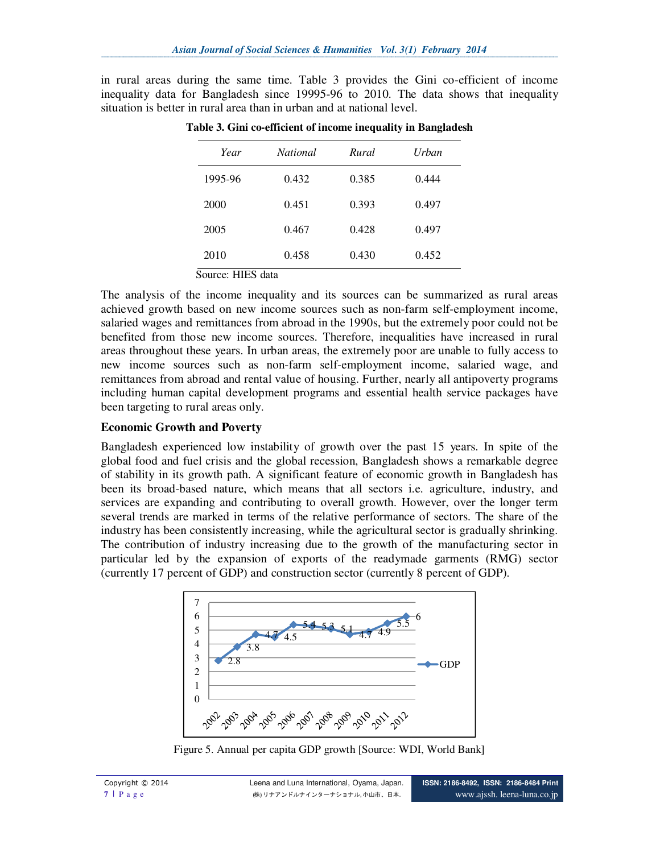in rural areas during the same time. Table 3 provides the Gini co-efficient of income inequality data for Bangladesh since 19995-96 to 2010. The data shows that inequality situation is better in rural area than in urban and at national level.

| Year              | <b>National</b> | Rural | Urban |
|-------------------|-----------------|-------|-------|
| 1995-96           | 0.432           | 0.385 | 0.444 |
| 2000              | 0.451           | 0.393 | 0.497 |
| 2005              | 0.467           | 0.428 | 0.497 |
| 2010              | 0.458           | 0.430 | 0.452 |
| Source: HIES data |                 |       |       |

**Table 3. Gini co-efficient of income inequality in Bangladesh** 

The analysis of the income inequality and its sources can be summarized as rural areas achieved growth based on new income sources such as non-farm self-employment income, salaried wages and remittances from abroad in the 1990s, but the extremely poor could not be benefited from those new income sources. Therefore, inequalities have increased in rural areas throughout these years. In urban areas, the extremely poor are unable to fully access to new income sources such as non-farm self-employment income, salaried wage, and remittances from abroad and rental value of housing. Further, nearly all antipoverty programs including human capital development programs and essential health service packages have been targeting to rural areas only.

## **Economic Growth and Poverty**

Bangladesh experienced low instability of growth over the past 15 years. In spite of the global food and fuel crisis and the global recession, Bangladesh shows a remarkable degree of stability in its growth path. A significant feature of economic growth in Bangladesh has been its broad-based nature, which means that all sectors i.e. agriculture, industry, and services are expanding and contributing to overall growth. However, over the longer term several trends are marked in terms of the relative performance of sectors. The share of the industry has been consistently increasing, while the agricultural sector is gradually shrinking. The contribution of industry increasing due to the growth of the manufacturing sector in particular led by the expansion of exports of the readymade garments (RMG) sector (currently 17 percent of GDP) and construction sector (currently 8 percent of GDP).



Figure 5. Annual per capita GDP growth [Source: WDI, World Bank]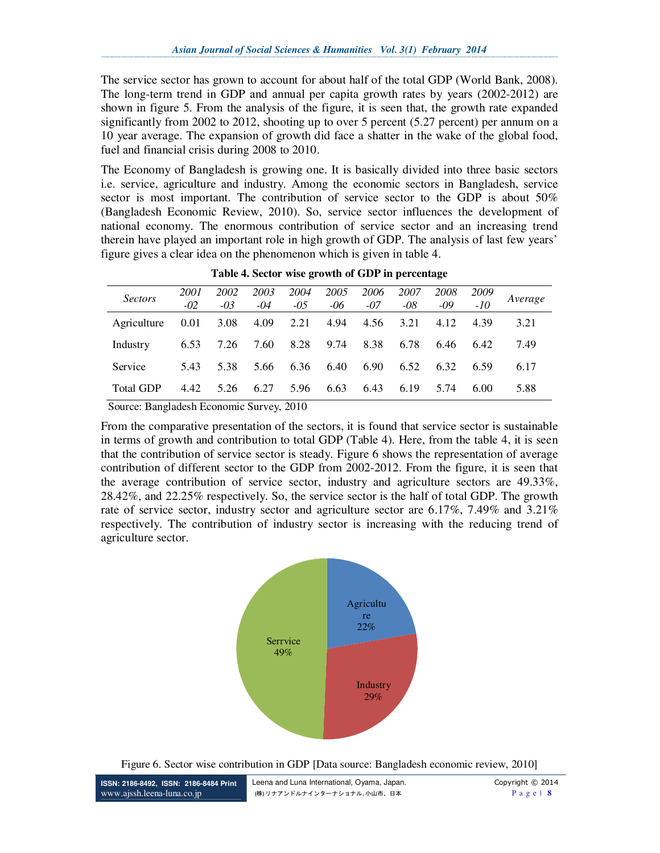The service sector has grown to account for about half of the total GDP (World Bank, 2008). The long-term trend in GDP and annual per capita growth rates by years (2002-2012) are shown in figure 5. From the analysis of the figure, it is seen that, the growth rate expanded significantly from 2002 to 2012, shooting up to over 5 percent (5.27 percent) per annum on a 10 year average. The expansion of growth did face a shatter in the wake of the global food, fuel and financial crisis during 2008 to 2010.

The Economy of Bangladesh is growing one. It is basically divided into three basic sectors i.e. service, agriculture and industry. Among the economic sectors in Bangladesh, service sector is most important. The contribution of service sector to the GDP is about 50% (Bangladesh Economic Review, 2010). So, service sector influences the development of national economy. The enormous contribution of service sector and an increasing trend therein have played an important role in high growth of GDP. The analysis of last few years' figure gives a clear idea on the phenomenon which is given in table 4.

| <b>Sectors</b>   | 2001<br>$-02$ | 2002<br>$-0.3$ | 2003<br>$-04$ | 2004<br>$-0.5$ | 2005<br>$-06$ | 2006<br>$-07$ | 2007<br>$-08$ | 2008<br>$-09$ | 2009<br>-10 | Average |
|------------------|---------------|----------------|---------------|----------------|---------------|---------------|---------------|---------------|-------------|---------|
| Agriculture      | 0.01          | 3.08           | 4.09          | 2.21           | 4.94          | 4.56          | 3.21          | 4.12          | 4.39        | 3.21    |
| Industry         | 6.53          | 7.26           | 7.60          | 8.28           | 9.74          | 8.38          | 6.78          | 6.46          | 6.42        | 7.49    |
| Service          | 5.43          | 5.38           | 5.66          | 6.36           | 6.40          | 6.90          | 6.52          | 6.32          | 6.59        | 6.17    |
| <b>Total GDP</b> | 4.42          | 5.26           | 6.27          | 5.96           | 6.63          | 6.43          | 6.19          | 5.74          | 6.00        | 5.88    |

**Table 4. Sector wise growth of GDP in percentage** 

Source: Bangladesh Economic Survey, 2010

From the comparative presentation of the sectors, it is found that service sector is sustainable in terms of growth and contribution to total GDP (Table 4). Here, from the table 4, it is seen that the contribution of service sector is steady. Figure 6 shows the representation of average contribution of different sector to the GDP from 2002-2012. From the figure, it is seen that the average contribution of service sector, industry and agriculture sectors are 49.33%, 28.42%, and 22.25% respectively. So, the service sector is the half of total GDP. The growth rate of service sector, industry sector and agriculture sector are 6.17%, 7.49% and 3.21% respectively. The contribution of industry sector is increasing with the reducing trend of agriculture sector.



Figure 6. Sector wise contribution in GDP [Data source: Bangladesh economic review, 2010]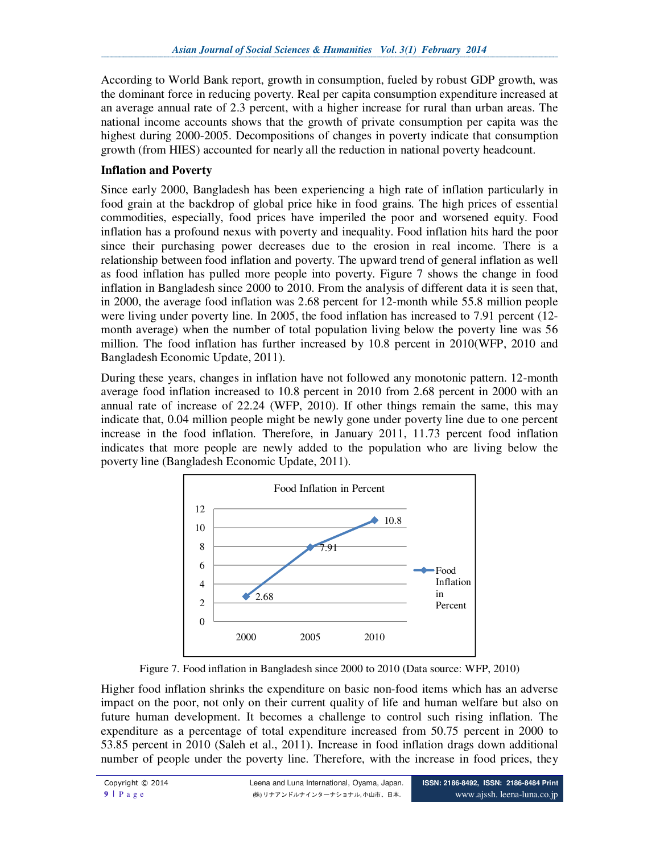According to World Bank report, growth in consumption, fueled by robust GDP growth, was the dominant force in reducing poverty. Real per capita consumption expenditure increased at an average annual rate of 2.3 percent, with a higher increase for rural than urban areas. The national income accounts shows that the growth of private consumption per capita was the highest during 2000-2005. Decompositions of changes in poverty indicate that consumption growth (from HIES) accounted for nearly all the reduction in national poverty headcount.

## **Inflation and Poverty**

Since early 2000, Bangladesh has been experiencing a high rate of inflation particularly in food grain at the backdrop of global price hike in food grains. The high prices of essential commodities, especially, food prices have imperiled the poor and worsened equity. Food inflation has a profound nexus with poverty and inequality. Food inflation hits hard the poor since their purchasing power decreases due to the erosion in real income. There is a relationship between food inflation and poverty. The upward trend of general inflation as well as food inflation has pulled more people into poverty. Figure 7 shows the change in food inflation in Bangladesh since 2000 to 2010. From the analysis of different data it is seen that, in 2000, the average food inflation was 2.68 percent for 12-month while 55.8 million people were living under poverty line. In 2005, the food inflation has increased to 7.91 percent (12 month average) when the number of total population living below the poverty line was 56 million. The food inflation has further increased by 10.8 percent in 2010(WFP, 2010 and Bangladesh Economic Update, 2011).

During these years, changes in inflation have not followed any monotonic pattern. 12-month average food inflation increased to 10.8 percent in 2010 from 2.68 percent in 2000 with an annual rate of increase of 22.24 (WFP, 2010). If other things remain the same, this may indicate that, 0.04 million people might be newly gone under poverty line due to one percent increase in the food inflation. Therefore, in January 2011, 11.73 percent food inflation indicates that more people are newly added to the population who are living below the poverty line (Bangladesh Economic Update, 2011).



Figure 7. Food inflation in Bangladesh since 2000 to 2010 (Data source: WFP, 2010)

Higher food inflation shrinks the expenditure on basic non-food items which has an adverse impact on the poor, not only on their current quality of life and human welfare but also on future human development. It becomes a challenge to control such rising inflation. The expenditure as a percentage of total expenditure increased from 50.75 percent in 2000 to 53.85 percent in 2010 (Saleh et al., 2011). Increase in food inflation drags down additional number of people under the poverty line. Therefore, with the increase in food prices, they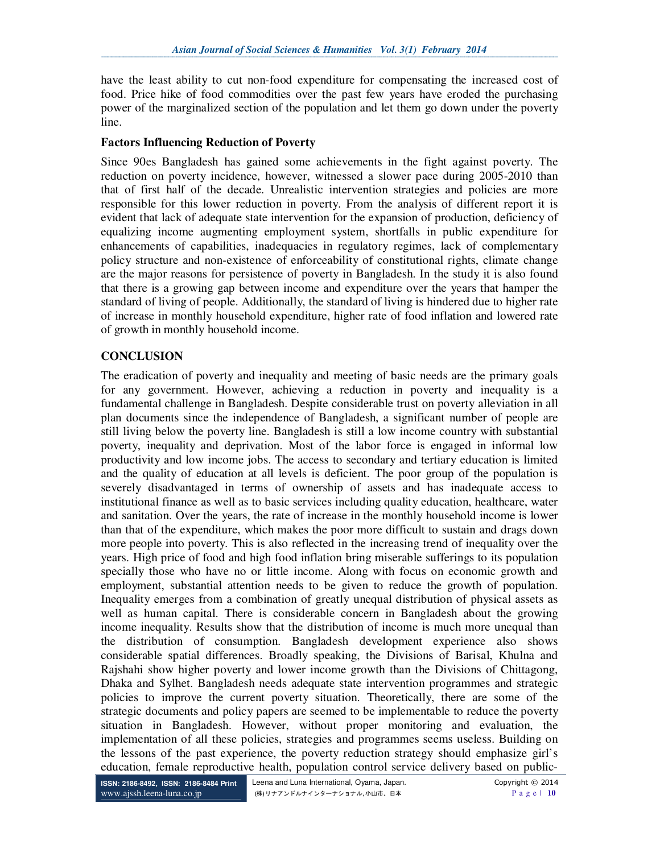have the least ability to cut non-food expenditure for compensating the increased cost of food. Price hike of food commodities over the past few years have eroded the purchasing power of the marginalized section of the population and let them go down under the poverty line.

## **Factors Influencing Reduction of Poverty**

Since 90es Bangladesh has gained some achievements in the fight against poverty. The reduction on poverty incidence, however, witnessed a slower pace during 2005-2010 than that of first half of the decade. Unrealistic intervention strategies and policies are more responsible for this lower reduction in poverty. From the analysis of different report it is evident that lack of adequate state intervention for the expansion of production, deficiency of equalizing income augmenting employment system, shortfalls in public expenditure for enhancements of capabilities, inadequacies in regulatory regimes, lack of complementary policy structure and non-existence of enforceability of constitutional rights, climate change are the major reasons for persistence of poverty in Bangladesh. In the study it is also found that there is a growing gap between income and expenditure over the years that hamper the standard of living of people. Additionally, the standard of living is hindered due to higher rate of increase in monthly household expenditure, higher rate of food inflation and lowered rate of growth in monthly household income.

# **CONCLUSION**

The eradication of poverty and inequality and meeting of basic needs are the primary goals for any government. However, achieving a reduction in poverty and inequality is a fundamental challenge in Bangladesh. Despite considerable trust on poverty alleviation in all plan documents since the independence of Bangladesh, a significant number of people are still living below the poverty line. Bangladesh is still a low income country with substantial poverty, inequality and deprivation. Most of the labor force is engaged in informal low productivity and low income jobs. The access to secondary and tertiary education is limited and the quality of education at all levels is deficient. The poor group of the population is severely disadvantaged in terms of ownership of assets and has inadequate access to institutional finance as well as to basic services including quality education, healthcare, water and sanitation. Over the years, the rate of increase in the monthly household income is lower than that of the expenditure, which makes the poor more difficult to sustain and drags down more people into poverty. This is also reflected in the increasing trend of inequality over the years. High price of food and high food inflation bring miserable sufferings to its population specially those who have no or little income. Along with focus on economic growth and employment, substantial attention needs to be given to reduce the growth of population. Inequality emerges from a combination of greatly unequal distribution of physical assets as well as human capital. There is considerable concern in Bangladesh about the growing income inequality. Results show that the distribution of income is much more unequal than the distribution of consumption. Bangladesh development experience also shows considerable spatial differences. Broadly speaking, the Divisions of Barisal, Khulna and Rajshahi show higher poverty and lower income growth than the Divisions of Chittagong, Dhaka and Sylhet. Bangladesh needs adequate state intervention programmes and strategic policies to improve the current poverty situation. Theoretically, there are some of the strategic documents and policy papers are seemed to be implementable to reduce the poverty situation in Bangladesh. However, without proper monitoring and evaluation, the implementation of all these policies, strategies and programmes seems useless. Building on the lessons of the past experience, the poverty reduction strategy should emphasize girl's education, female reproductive health, population control service delivery based on public